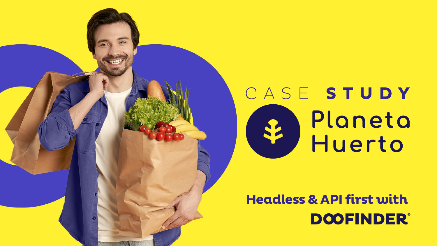

# CASE STUDY Planeta S Huerto

Headless & API first with DOOFINDER®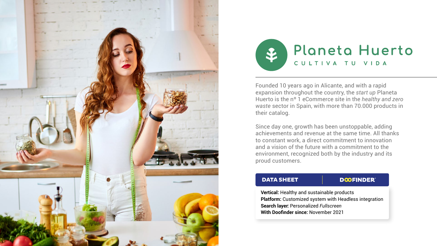#### DATA SHEET

#### **DOOFINDER®**

**Vertical:** Healthy and sustainable products **Platform:** Customized system with Headless integration **Search layer:** Personalized *Fullscreen* **With Doofinder since:** November 2021





Founded 10 years ago in Alicante, and with a rapid expansion throughout the country, the *start up* Planeta Huerto is the nº 1 eCommerce site in the *healthy and zero waste* sector in Spain, with more than 70.000 products in their catalog.

Since day one, growth has been unstoppable, adding achievements and revenue at the same time. All thanks to constant work, a direct commitment to innovation and a vision of the future with a commitment to the environment, recognized both by the industry and its proud customers.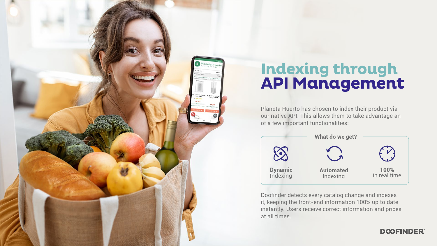

# **Indexing through API Management**

Planeta Huerto has chosen to index their product via our native API. This allows them to take advantage an of a few important functionalities:



Doofinder detects every catalog change and indexes it, keeping the front-end information 100% up to date instantly. Users receive correct information and prices at all times.

## **DOOFINDER®**

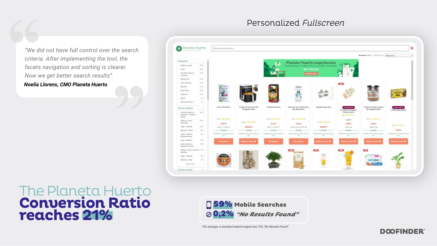# Personalized Fullscreen



*"We did not have full control over the search criteria. After implementing the tool, the facets navigation and sorting is clearer. Now we get better search results".*

*Noelia Llorens, CMO Planeta Huerto*

# The Planeta Huerto **Conversion Ratio reaches 21%**

| Categorias                                                 |              |
|------------------------------------------------------------|--------------|
| Dietakony sasar                                            | <b>SAFA4</b> |
| <b>Hogar</b>                                               | 9940         |
| Cosmética Natural y<br>Dringweist                          | 6.128        |
| AMERICAN L                                                 | 11970        |
| Jackin y Exterior                                          | 46.48        |
| Miles Color                                                | 2797         |
| Bele y Nino.                                               | 2018         |
| Huesto Eco                                                 | 1999         |
| Person                                                     |              |
| Supermentado Eco                                           |              |
| Lipe de preducto.                                          |              |
| Coursétion Natural V<br>Dreguesia - Countrillia<br>Natural | $-1.466$     |
| Dietellich ji satad 5<br>Fitotorapia.                      | $-27 - 11$   |
| Hogar > Dritolaje                                          | 3835         |
| Mascolas > Perros                                          | 200          |
| Норм - Рефанба.<br>Electrodoméstico                        | [0,0]        |
| Hogar > Mustake                                            | $-1000$      |
| Justin y Exterior ><br>Mobiliario de Jacobo                | 1055         |
| Divisition strailed > Natrickle 2272<br>please and         |              |
| Носав: > Вероятан,                                         |              |
| Mascolos > Golds                                           |              |
| تستنسب                                                     |              |

 $\left[ 1, 1 \right]$ 



*\*On average, a standard search engine has 15% "No Results Found".*

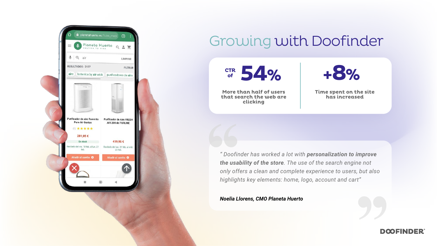

# Growing with Doofinder

*" Doofinder has worked a lot with personalization to improve the usability of the store. The use of the search engine not only offers a clean and complete experience to users, but also highlights key elements: home, logo, account and cart"*

*Noelia Llorens, CMO Planeta Huerto*

### **DOOFINDER®**



**Time spent on the site has increased**

**+8%**

**More than half of users that search the web are clicking**